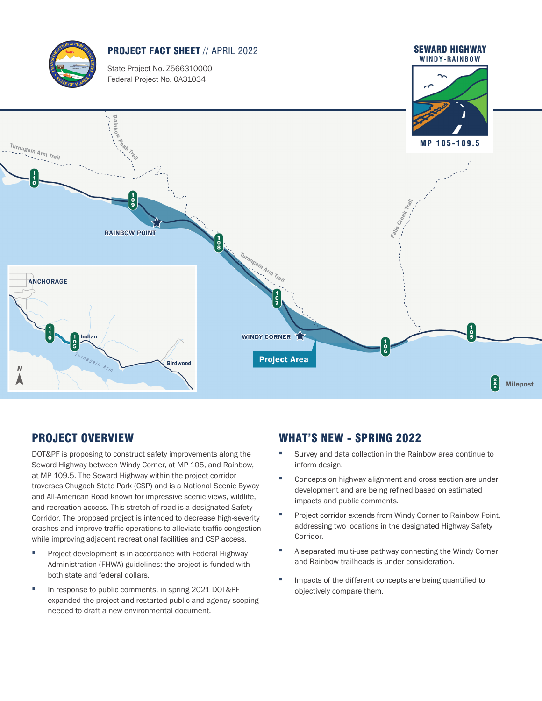

# PROJECT OVERVIEW

DOT&PF is proposing to construct safety improvements along the Seward Highway between Windy Corner, at MP 105, and Rainbow, at MP 109.5. The Seward Highway within the project corridor traverses Chugach State Park (CSP) and is a National Scenic Byway and All-American Road known for impressive scenic views, wildlife, and recreation access. This stretch of road is a designated Safety Corridor. The proposed project is intended to decrease high-severity crashes and improve traffic operations to alleviate traffic congestion while improving adjacent recreational facilities and CSP access.

- Project development is in accordance with Federal Highway Administration (FHWA) guidelines; the project is funded with both state and federal dollars.
- In response to public comments, in spring 2021 DOT&PF expanded the project and restarted public and agency scoping needed to draft a new environmental document.

## WHAT'S NEW - SPRING 2022

- Survey and data collection in the Rainbow area continue to inform design.
- Concepts on highway alignment and cross section are under development and are being refined based on estimated impacts and public comments.
- Project corridor extends from Windy Corner to Rainbow Point, addressing two locations in the designated Highway Safety Corridor.
- A separated multi-use pathway connecting the Windy Corner and Rainbow trailheads is under consideration.
- Impacts of the different concepts are being quantified to objectively compare them.